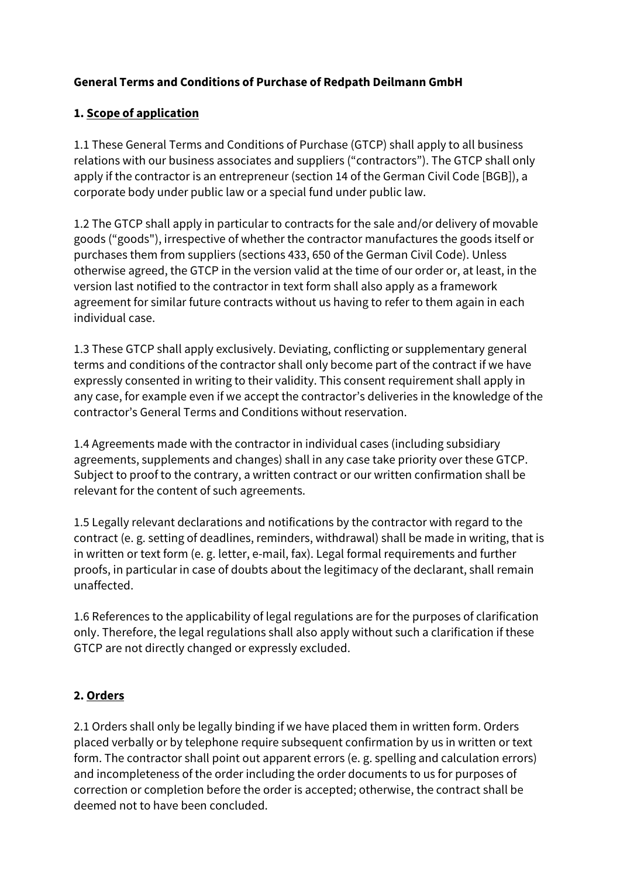## **General Terms and Conditions of Purchase of Redpath Deilmann GmbH**

# **1. Scope of application**

1.1 These General Terms and Conditions of Purchase (GTCP) shall apply to all business relations with our business associates and suppliers ("contractors"). The GTCP shall only apply if the contractor is an entrepreneur (section 14 of the German Civil Code [BGB]), a corporate body under public law or a special fund under public law.

1.2 The GTCP shall apply in particular to contracts for the sale and/or delivery of movable goods ("goods"), irrespective of whether the contractor manufactures the goods itself or purchases them from suppliers (sections 433, 650 of the German Civil Code). Unless otherwise agreed, the GTCP in the version valid at the time of our order or, at least, in the version last notified to the contractor in text form shall also apply as a framework agreement for similar future contracts without us having to refer to them again in each individual case.

1.3 These GTCP shall apply exclusively. Deviating, conflicting or supplementary general terms and conditions of the contractor shall only become part of the contract if we have expressly consented in writing to their validity. This consent requirement shall apply in any case, for example even if we accept the contractor's deliveries in the knowledge of the contractor's General Terms and Conditions without reservation.

1.4 Agreements made with the contractor in individual cases (including subsidiary agreements, supplements and changes) shall in any case take priority over these GTCP. Subject to proof to the contrary, a written contract or our written confirmation shall be relevant for the content of such agreements.

1.5 Legally relevant declarations and notifications by the contractor with regard to the contract (e. g. setting of deadlines, reminders, withdrawal) shall be made in writing, that is in written or text form (e. g. letter, e-mail, fax). Legal formal requirements and further proofs, in particular in case of doubts about the legitimacy of the declarant, shall remain unaffected.

1.6 References to the applicability of legal regulations are for the purposes of clarification only. Therefore, the legal regulations shall also apply without such a clarification if these GTCP are not directly changed or expressly excluded.

# **2. Orders**

2.1 Orders shall only be legally binding if we have placed them in written form. Orders placed verbally or by telephone require subsequent confirmation by us in written or text form. The contractor shall point out apparent errors (e. g. spelling and calculation errors) and incompleteness of the order including the order documents to us for purposes of correction or completion before the order is accepted; otherwise, the contract shall be deemed not to have been concluded.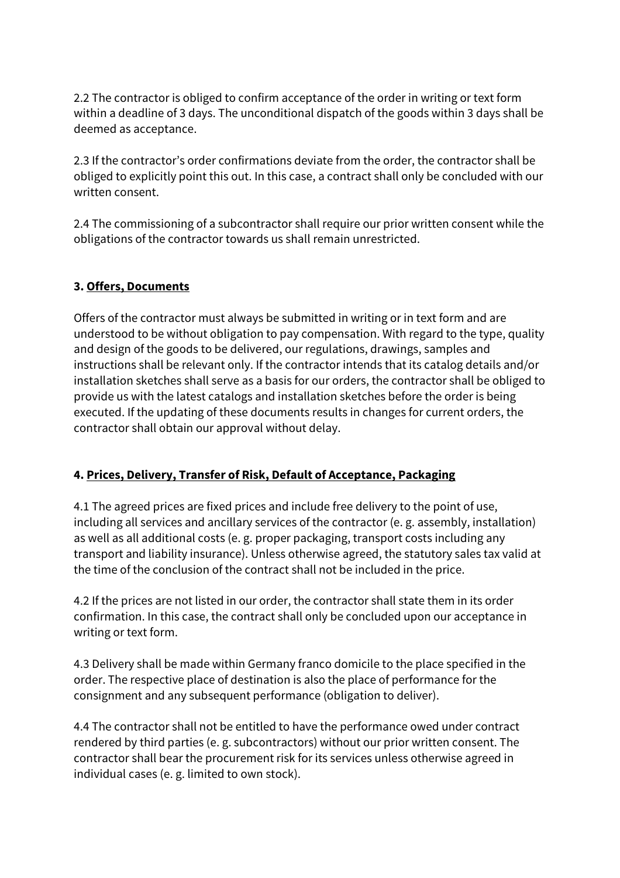2.2 The contractor is obliged to confirm acceptance of the order in writing or text form within a deadline of 3 days. The unconditional dispatch of the goods within 3 days shall be deemed as acceptance.

2.3 If the contractor's order confirmations deviate from the order, the contractor shall be obliged to explicitly point this out. In this case, a contract shall only be concluded with our written consent.

2.4 The commissioning of a subcontractor shall require our prior written consent while the obligations of the contractor towards us shall remain unrestricted.

### **3. Offers, Documents**

Offers of the contractor must always be submitted in writing or in text form and are understood to be without obligation to pay compensation. With regard to the type, quality and design of the goods to be delivered, our regulations, drawings, samples and instructions shall be relevant only. If the contractor intends that its catalog details and/or installation sketches shall serve as a basis for our orders, the contractor shall be obliged to provide us with the latest catalogs and installation sketches before the order is being executed. If the updating of these documents results in changes for current orders, the contractor shall obtain our approval without delay.

### **4. Prices, Delivery, Transfer of Risk, Default of Acceptance, Packaging**

4.1 The agreed prices are fixed prices and include free delivery to the point of use, including all services and ancillary services of the contractor (e. g. assembly, installation) as well as all additional costs (e. g. proper packaging, transport costs including any transport and liability insurance). Unless otherwise agreed, the statutory sales tax valid at the time of the conclusion of the contract shall not be included in the price.

4.2 If the prices are not listed in our order, the contractor shall state them in its order confirmation. In this case, the contract shall only be concluded upon our acceptance in writing or text form.

4.3 Delivery shall be made within Germany franco domicile to the place specified in the order. The respective place of destination is also the place of performance for the consignment and any subsequent performance (obligation to deliver).

4.4 The contractor shall not be entitled to have the performance owed under contract rendered by third parties (e. g. subcontractors) without our prior written consent. The contractor shall bear the procurement risk for its services unless otherwise agreed in individual cases (e. g. limited to own stock).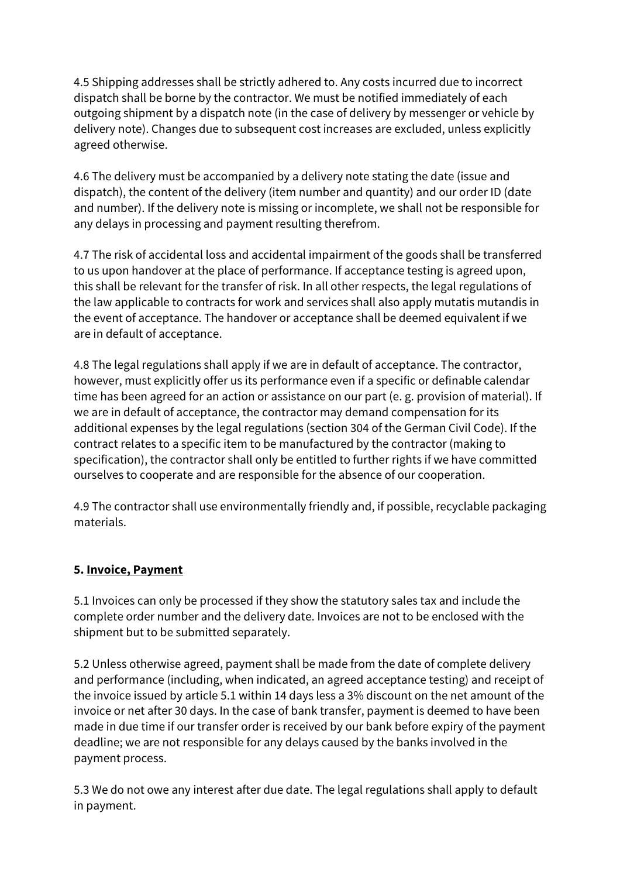4.5 Shipping addresses shall be strictly adhered to. Any costs incurred due to incorrect dispatch shall be borne by the contractor. We must be notified immediately of each outgoing shipment by a dispatch note (in the case of delivery by messenger or vehicle by delivery note). Changes due to subsequent cost increases are excluded, unless explicitly agreed otherwise.

4.6 The delivery must be accompanied by a delivery note stating the date (issue and dispatch), the content of the delivery (item number and quantity) and our order ID (date and number). If the delivery note is missing or incomplete, we shall not be responsible for any delays in processing and payment resulting therefrom.

4.7 The risk of accidental loss and accidental impairment of the goods shall be transferred to us upon handover at the place of performance. If acceptance testing is agreed upon, this shall be relevant for the transfer of risk. In all other respects, the legal regulations of the law applicable to contracts for work and services shall also apply mutatis mutandis in the event of acceptance. The handover or acceptance shall be deemed equivalent if we are in default of acceptance.

4.8 The legal regulations shall apply if we are in default of acceptance. The contractor, however, must explicitly offer us its performance even if a specific or definable calendar time has been agreed for an action or assistance on our part (e. g. provision of material). If we are in default of acceptance, the contractor may demand compensation for its additional expenses by the legal regulations (section 304 of the German Civil Code). If the contract relates to a specific item to be manufactured by the contractor (making to specification), the contractor shall only be entitled to further rights if we have committed ourselves to cooperate and are responsible for the absence of our cooperation.

4.9 The contractor shall use environmentally friendly and, if possible, recyclable packaging materials.

# **5. Invoice, Payment**

5.1 Invoices can only be processed if they show the statutory sales tax and include the complete order number and the delivery date. Invoices are not to be enclosed with the shipment but to be submitted separately.

5.2 Unless otherwise agreed, payment shall be made from the date of complete delivery and performance (including, when indicated, an agreed acceptance testing) and receipt of the invoice issued by article 5.1 within 14 days less a 3% discount on the net amount of the invoice or net after 30 days. In the case of bank transfer, payment is deemed to have been made in due time if our transfer order is received by our bank before expiry of the payment deadline; we are not responsible for any delays caused by the banks involved in the payment process.

5.3 We do not owe any interest after due date. The legal regulations shall apply to default in payment.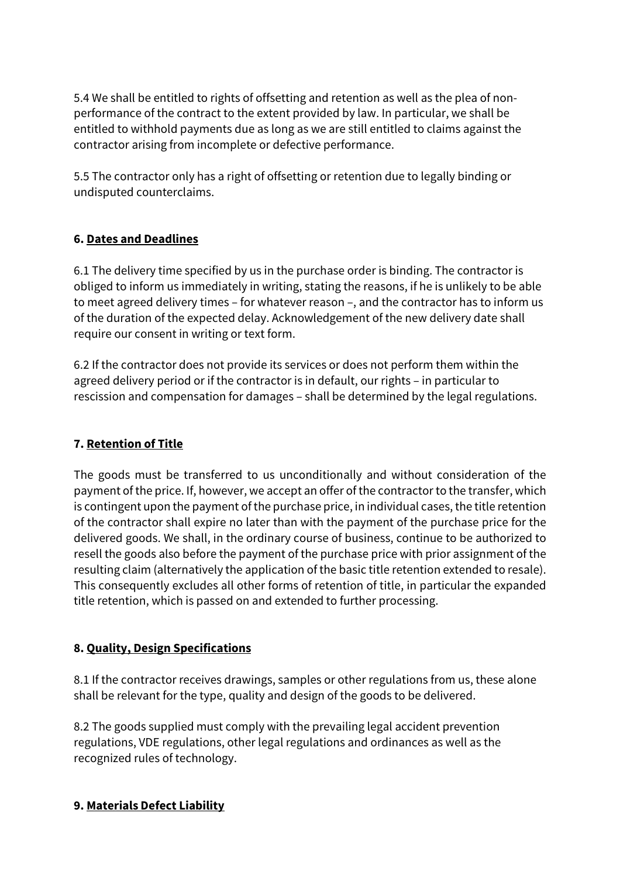5.4 We shall be entitled to rights of offsetting and retention as well as the plea of nonperformance of the contract to the extent provided by law. In particular, we shall be entitled to withhold payments due as long as we are still entitled to claims against the contractor arising from incomplete or defective performance.

5.5 The contractor only has a right of offsetting or retention due to legally binding or undisputed counterclaims.

# **6. Dates and Deadlines**

6.1 The delivery time specified by us in the purchase order is binding. The contractor is obliged to inform us immediately in writing, stating the reasons, if he is unlikely to be able to meet agreed delivery times – for whatever reason –, and the contractor has to inform us of the duration of the expected delay. Acknowledgement of the new delivery date shall require our consent in writing or text form.

6.2 If the contractor does not provide its services or does not perform them within the agreed delivery period or if the contractor is in default, our rights – in particular to rescission and compensation for damages – shall be determined by the legal regulations.

# **7. Retention of Title**

The goods must be transferred to us unconditionally and without consideration of the payment of the price. If, however, we accept an offer of the contractorto the transfer, which is contingent upon the payment of the purchase price, in individual cases, the title retention of the contractor shall expire no later than with the payment of the purchase price for the delivered goods. We shall, in the ordinary course of business, continue to be authorized to resell the goods also before the payment of the purchase price with prior assignment of the resulting claim (alternatively the application of the basic title retention extended to resale). This consequently excludes all other forms of retention of title, in particular the expanded title retention, which is passed on and extended to further processing.

# **8. Quality, Design Specifications**

8.1 If the contractor receives drawings, samples or other regulations from us, these alone shall be relevant for the type, quality and design of the goods to be delivered.

8.2 The goods supplied must comply with the prevailing legal accident prevention regulations, VDE regulations, other legal regulations and ordinances as well as the recognized rules of technology.

### **9. Materials Defect Liability**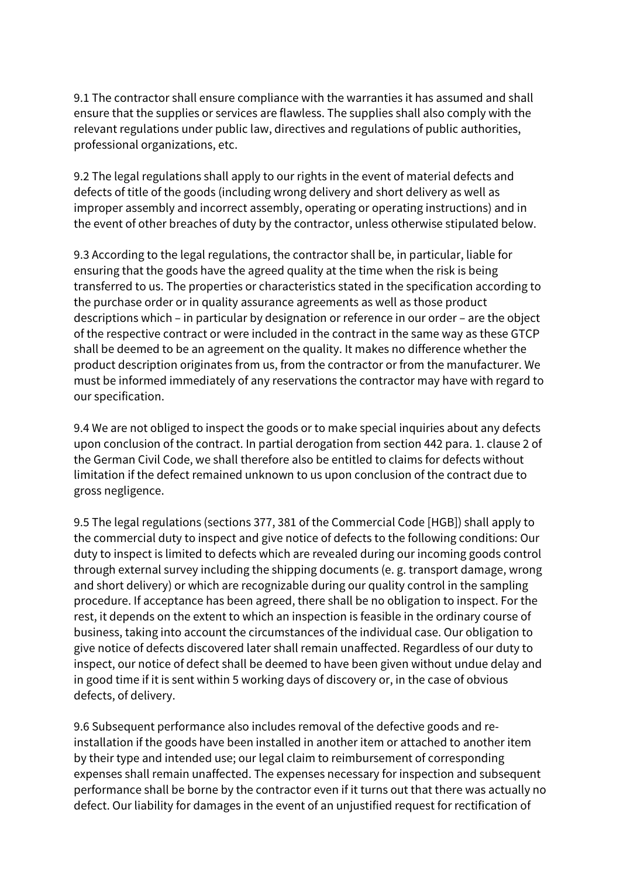9.1 The contractor shall ensure compliance with the warranties it has assumed and shall ensure that the supplies or services are flawless. The supplies shall also comply with the relevant regulations under public law, directives and regulations of public authorities, professional organizations, etc.

9.2 The legal regulations shall apply to our rights in the event of material defects and defects of title of the goods (including wrong delivery and short delivery as well as improper assembly and incorrect assembly, operating or operating instructions) and in the event of other breaches of duty by the contractor, unless otherwise stipulated below.

9.3 According to the legal regulations, the contractor shall be, in particular, liable for ensuring that the goods have the agreed quality at the time when the risk is being transferred to us. The properties or characteristics stated in the specification according to the purchase order or in quality assurance agreements as well as those product descriptions which – in particular by designation or reference in our order – are the object of the respective contract or were included in the contract in the same way as these GTCP shall be deemed to be an agreement on the quality. It makes no difference whether the product description originates from us, from the contractor or from the manufacturer. We must be informed immediately of any reservations the contractor may have with regard to our specification.

9.4 We are not obliged to inspect the goods or to make special inquiries about any defects upon conclusion of the contract. In partial derogation from section 442 para. 1. clause 2 of the German Civil Code, we shall therefore also be entitled to claims for defects without limitation if the defect remained unknown to us upon conclusion of the contract due to gross negligence.

9.5 The legal regulations (sections 377, 381 of the Commercial Code [HGB]) shall apply to the commercial duty to inspect and give notice of defects to the following conditions: Our duty to inspect is limited to defects which are revealed during our incoming goods control through external survey including the shipping documents (e. g. transport damage, wrong and short delivery) or which are recognizable during our quality control in the sampling procedure. If acceptance has been agreed, there shall be no obligation to inspect. For the rest, it depends on the extent to which an inspection is feasible in the ordinary course of business, taking into account the circumstances of the individual case. Our obligation to give notice of defects discovered later shall remain unaffected. Regardless of our duty to inspect, our notice of defect shall be deemed to have been given without undue delay and in good time if it is sent within 5 working days of discovery or, in the case of obvious defects, of delivery.

9.6 Subsequent performance also includes removal of the defective goods and reinstallation if the goods have been installed in another item or attached to another item by their type and intended use; our legal claim to reimbursement of corresponding expenses shall remain unaffected. The expenses necessary for inspection and subsequent performance shall be borne by the contractor even if it turns out that there was actually no defect. Our liability for damages in the event of an unjustified request for rectification of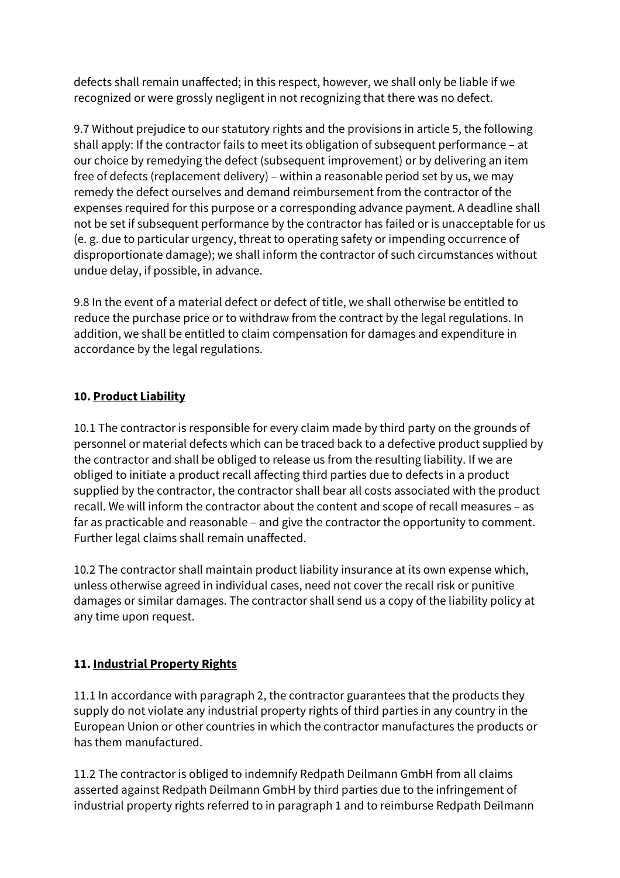defects shall remain unaffected; in this respect, however, we shall only be liable if we recognized or were grossly negligent in not recognizing that there was no defect.

9.7 Without prejudice to our statutory rights and the provisions in article 5, the following shall apply: If the contractor fails to meet its obligation of subsequent performance – at our choice by remedying the defect (subsequent improvement) or by delivering an item free of defects (replacement delivery) – within a reasonable period set by us, we may remedy the defect ourselves and demand reimbursement from the contractor of the expenses required for this purpose or a corresponding advance payment. A deadline shall not be set if subsequent performance by the contractor has failed or is unacceptable for us (e. g. due to particular urgency, threat to operating safety or impending occurrence of disproportionate damage); we shall inform the contractor of such circumstances without undue delay, if possible, in advance.

9.8 In the event of a material defect or defect of title, we shall otherwise be entitled to reduce the purchase price or to withdraw from the contract by the legal regulations. In addition, we shall be entitled to claim compensation for damages and expenditure in accordance by the legal regulations.

## **10. Product Liability**

10.1 The contractor is responsible for every claim made by third party on the grounds of personnel or material defects which can be traced back to a defective product supplied by the contractor and shall be obliged to release us from the resulting liability. If we are obliged to initiate a product recall affecting third parties due to defects in a product supplied by the contractor, the contractor shall bear all costs associated with the product recall. We will inform the contractor about the content and scope of recall measures – as far as practicable and reasonable – and give the contractor the opportunity to comment. Further legal claims shall remain unaffected.

10.2 The contractor shall maintain product liability insurance at its own expense which, unless otherwise agreed in individual cases, need not cover the recall risk or punitive damages or similar damages. The contractor shall send us a copy of the liability policy at any time upon request.

# **11. Industrial Property Rights**

11.1 In accordance with paragraph 2, the contractor guarantees that the products they supply do not violate any industrial property rights of third parties in any country in the European Union or other countries in which the contractor manufactures the products or has them manufactured.

11.2 The contractor is obliged to indemnify Redpath Deilmann GmbH from all claims asserted against Redpath Deilmann GmbH by third parties due to the infringement of industrial property rights referred to in paragraph 1 and to reimburse Redpath Deilmann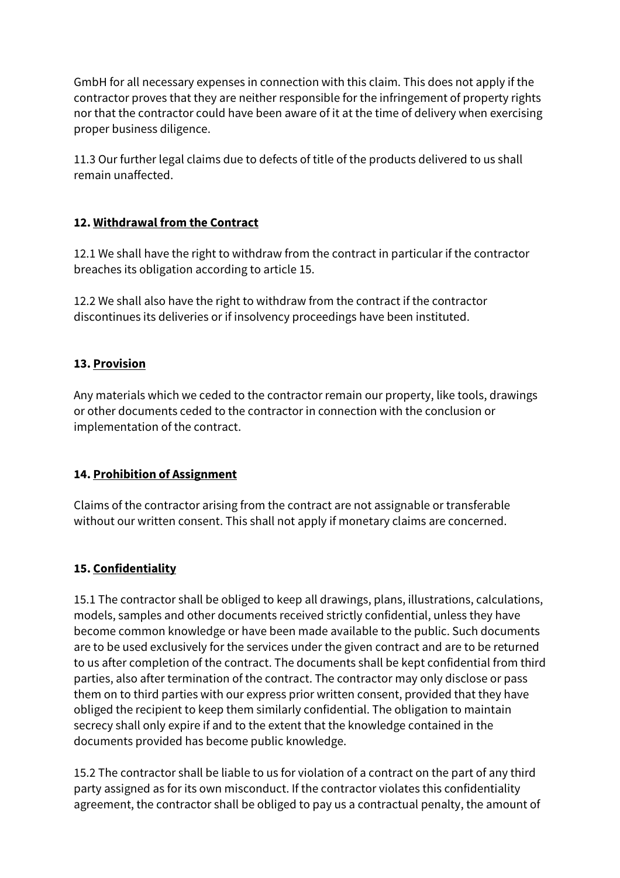GmbH for all necessary expenses in connection with this claim. This does not apply if the contractor proves that they are neither responsible for the infringement of property rights nor that the contractor could have been aware of it at the time of delivery when exercising proper business diligence.

11.3 Our further legal claims due to defects of title of the products delivered to us shall remain unaffected.

### **12. Withdrawal from the Contract**

12.1 We shall have the right to withdraw from the contract in particular if the contractor breaches its obligation according to article 15.

12.2 We shall also have the right to withdraw from the contract if the contractor discontinues its deliveries or if insolvency proceedings have been instituted.

## **13. Provision**

Any materials which we ceded to the contractor remain our property, like tools, drawings or other documents ceded to the contractor in connection with the conclusion or implementation of the contract.

# **14. Prohibition of Assignment**

Claims of the contractor arising from the contract are not assignable or transferable without our written consent. This shall not apply if monetary claims are concerned.

# **15. Confidentiality**

15.1 The contractor shall be obliged to keep all drawings, plans, illustrations, calculations, models, samples and other documents received strictly confidential, unless they have become common knowledge or have been made available to the public. Such documents are to be used exclusively for the services under the given contract and are to be returned to us after completion of the contract. The documents shall be kept confidential from third parties, also after termination of the contract. The contractor may only disclose or pass them on to third parties with our express prior written consent, provided that they have obliged the recipient to keep them similarly confidential. The obligation to maintain secrecy shall only expire if and to the extent that the knowledge contained in the documents provided has become public knowledge.

15.2 The contractor shall be liable to us for violation of a contract on the part of any third party assigned as for its own misconduct. If the contractor violates this confidentiality agreement, the contractor shall be obliged to pay us a contractual penalty, the amount of